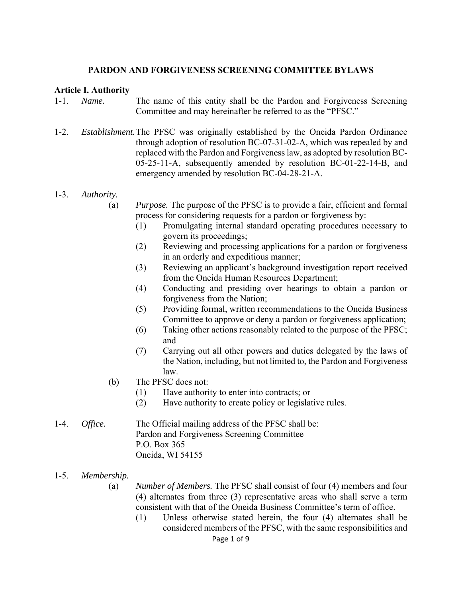### **PARDON AND FORGIVENESS SCREENING COMMITTEE BYLAWS**

### **Article I. Authority**

- 1-1. *Name.* The name of this entity shall be the Pardon and Forgiveness Screening Committee and may hereinafter be referred to as the "PFSC."
- 1-2. *Establishment.* The PFSC was originally established by the Oneida Pardon Ordinance through adoption of resolution BC-07-31-02-A, which was repealed by and replaced with the Pardon and Forgiveness law, as adopted by resolution BC-05-25-11-A, subsequently amended by resolution BC-01-22-14-B, and emergency amended by resolution BC-04-28-21-A.

### 1-3. *Authority.*

- (a) *Purpose.* The purpose of the PFSC is to provide a fair, efficient and formal process for considering requests for a pardon or forgiveness by:
	- (1) Promulgating internal standard operating procedures necessary to govern its proceedings;
	- (2) Reviewing and processing applications for a pardon or forgiveness in an orderly and expeditious manner;
	- (3) Reviewing an applicant's background investigation report received from the Oneida Human Resources Department;
	- (4) Conducting and presiding over hearings to obtain a pardon or forgiveness from the Nation;
	- (5) Providing formal, written recommendations to the Oneida Business Committee to approve or deny a pardon or forgiveness application;
	- (6) Taking other actions reasonably related to the purpose of the PFSC; and
	- (7) Carrying out all other powers and duties delegated by the laws of the Nation, including, but not limited to, the Pardon and Forgiveness law.
- (b) The PFSC does not:
	- (1) Have authority to enter into contracts; or
	- (2) Have authority to create policy or legislative rules.
- 1-4. *Office.* The Official mailing address of the PFSC shall be: Pardon and Forgiveness Screening Committee P.O. Box 365 Oneida, WI 54155
- 1-5. *Membership.*
	- (a) *Number of Members.* The PFSC shall consist of four (4) members and four (4) alternates from three (3) representative areas who shall serve a term consistent with that of the Oneida Business Committee's term of office.
		- (1) Unless otherwise stated herein, the four (4) alternates shall be considered members of the PFSC, with the same responsibilities and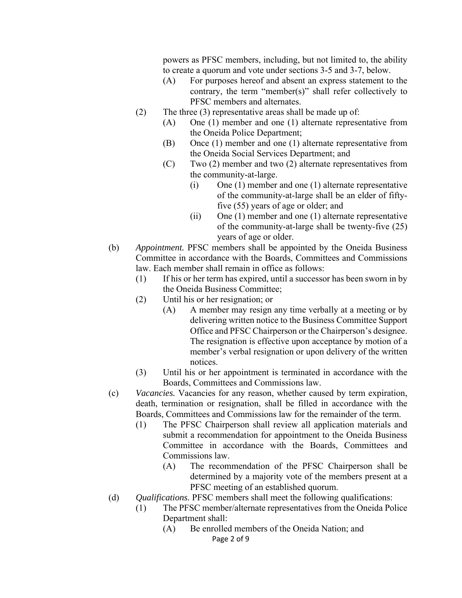powers as PFSC members, including, but not limited to, the ability to create a quorum and vote under sections 3-5 and 3-7, below.

- (A) For purposes hereof and absent an express statement to the contrary, the term "member(s)" shall refer collectively to PFSC members and alternates.
- (2) The three (3) representative areas shall be made up of:
	- (A) One (1) member and one (1) alternate representative from the Oneida Police Department;
	- (B) Once (1) member and one (1) alternate representative from the Oneida Social Services Department; and
	- (C) Two (2) member and two (2) alternate representatives from the community-at-large.
		- (i) One (1) member and one (1) alternate representative of the community-at-large shall be an elder of fifty five (55) years of age or older; and
		- (ii) One (1) member and one (1) alternate representative of the community-at-large shall be twenty-five (25) years of age or older.
- (b) *Appointment.* PFSC members shall be appointed by the Oneida Business Committee in accordance with the Boards, Committees and Commissions law. Each member shall remain in office as follows:
	- (1) If his or her term has expired, until a successor has been sworn in by the Oneida Business Committee;
	- (2) Until his or her resignation; or
		- (A) A member may resign any time verbally at a meeting or by delivering written notice to the Business Committee Support Office and PFSC Chairperson or the Chairperson's designee. The resignation is effective upon acceptance by motion of a member's verbal resignation or upon delivery of the written notices.
	- (3) Until his or her appointment is terminated in accordance with the Boards, Committees and Commissions law.
- (c) *Vacancies.* Vacancies for any reason, whether caused by term expiration, death, termination or resignation, shall be filled in accordance with the Boards, Committees and Commissions law for the remainder of the term.
	- (1) The PFSC Chairperson shall review all application materials and submit a recommendation for appointment to the Oneida Business Committee in accordance with the Boards, Committees and Commissions law.
		- (A) The recommendation of the PFSC Chairperson shall be determined by a majority vote of the members present at a PFSC meeting of an established quorum.
- (d) *Qualifications.* PFSC members shall meet the following qualifications:
	- (1) The PFSC member/alternate representatives from the Oneida Police Department shall:
		- Page 2 of 9 (A) Be enrolled members of the Oneida Nation; and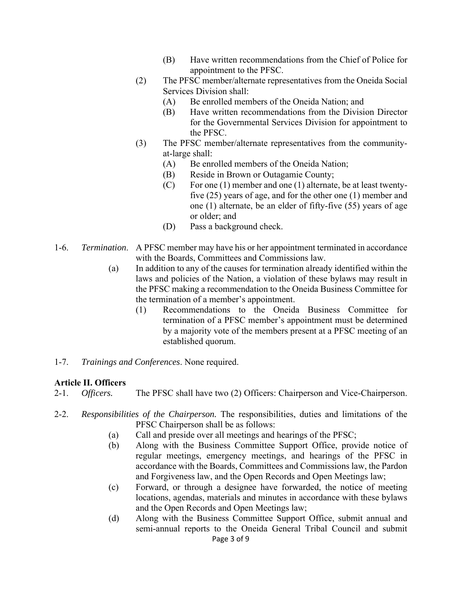- (B) Have written recommendations from the Chief of Police for appointment to the PFSC.
- (2) The PFSC member/alternate representatives from the Oneida Social Services Division shall:
	- (A) Be enrolled members of the Oneida Nation; and
	- (B) Have written recommendations from the Division Director for the Governmental Services Division for appointment to the PFSC.
- (3) The PFSC member/alternate representatives from the communityat-large shall:
	- (A) Be enrolled members of the Oneida Nation;
	- (B) Reside in Brown or Outagamie County;
	- (C) For one (1) member and one (1) alternate, be at least twentyfive (25) years of age, and for the other one (1) member and one (1) alternate, be an elder of fifty-five (55) years of age or older; and
	- (D) Pass a background check.
- 1-6. *Termination*. A PFSC member may have his or her appointment terminated in accordance with the Boards, Committees and Commissions law.
	- (a) In addition to any of the causes for termination already identified within the laws and policies of the Nation, a violation of these bylaws may result in the PFSC making a recommendation to the Oneida Business Committee for the termination of a member's appointment.
		- (1) Recommendations to the Oneida Business Committee for termination of a PFSC member's appointment must be determined by a majority vote of the members present at a PFSC meeting of an established quorum.
- 1-7. *Trainings and Conferences*. None required.

## **Article II. Officers**

- 2-1. *Officers.* The PFSC shall have two (2) Officers: Chairperson and Vice-Chairperson.
- 2-2. *Responsibilities of the Chairperson.* The responsibilities, duties and limitations of the PFSC Chairperson shall be as follows:
	- (a) Call and preside over all meetings and hearings of the PFSC;
	- (b) Along with the Business Committee Support Office, provide notice of regular meetings, emergency meetings, and hearings of the PFSC in accordance with the Boards, Committees and Commissions law, the Pardon and Forgiveness law, and the Open Records and Open Meetings law;
	- (c) Forward, or through a designee have forwarded, the notice of meeting locations, agendas, materials and minutes in accordance with these bylaws and the Open Records and Open Meetings law;
	- Page 3 of 9 (d) Along with the Business Committee Support Office, submit annual and semi-annual reports to the Oneida General Tribal Council and submit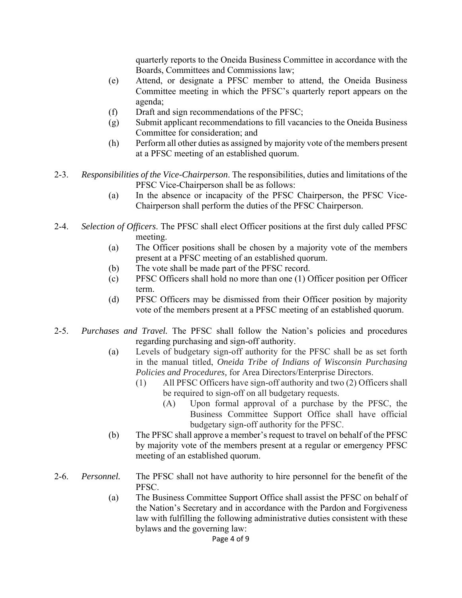quarterly reports to the Oneida Business Committee in accordance with the Boards, Committees and Commissions law;

- (e) Attend, or designate a PFSC member to attend, the Oneida Business Committee meeting in which the PFSC's quarterly report appears on the agenda;
- (f) Draft and sign recommendations of the PFSC;
- (g) Submit applicant recommendations to fill vacancies to the Oneida Business Committee for consideration; and
- (h) Perform all other duties as assigned by majority vote of the members present at a PFSC meeting of an established quorum.
- 2-3. *Responsibilities of the Vice-Chairperson*. The responsibilities, duties and limitations of the PFSC Vice-Chairperson shall be as follows:
	- (a) In the absence or incapacity of the PFSC Chairperson, the PFSC Vice- Chairperson shall perform the duties of the PFSC Chairperson.
- 2-4. *Selection of Officers*. The PFSC shall elect Officer positions at the first duly called PFSC meeting.
	- (a) The Officer positions shall be chosen by a majority vote of the members present at a PFSC meeting of an established quorum.
	- (b) The vote shall be made part of the PFSC record.
	- (c) PFSC Officers shall hold no more than one (1) Officer position per Officer term.
	- (d) PFSC Officers may be dismissed from their Officer position by majority vote of the members present at a PFSC meeting of an established quorum.
- 2-5. *Purchases and Travel.* The PFSC shall follow the Nation's policies and procedures regarding purchasing and sign-off authority.
	- (a) Levels of budgetary sign-off authority for the PFSC shall be as set forth in the manual titled, *Oneida Tribe of Indians of Wisconsin Purchasing Policies and Procedures,* for Area Directors/Enterprise Directors.
		- (1) All PFSC Officers have sign-off authority and two (2) Officers shall be required to sign-off on all budgetary requests.
			- (A) Upon formal approval of a purchase by the PFSC, the Business Committee Support Office shall have official budgetary sign-off authority for the PFSC.
	- (b) The PFSC shall approve a member's request to travel on behalf of the PFSC by majority vote of the members present at a regular or emergency PFSC meeting of an established quorum.
- 2-6. *Personnel.* The PFSC shall not have authority to hire personnel for the benefit of the PFSC.
	- (a) The Business Committee Support Office shall assist the PFSC on behalf of the Nation's Secretary and in accordance with the Pardon and Forgiveness law with fulfilling the following administrative duties consistent with these bylaws and the governing law: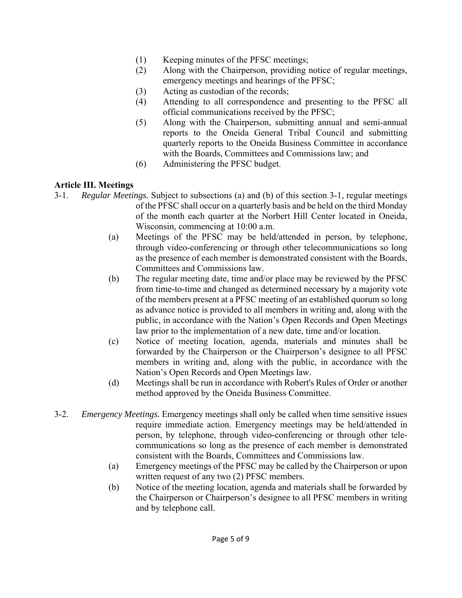- (1) Keeping minutes of the PFSC meetings;
- (2) Along with the Chairperson, providing notice of regular meetings, emergency meetings and hearings of the PFSC;
- (3) Acting as custodian of the records;
- (4) Attending to all correspondence and presenting to the PFSC all official communications received by the PFSC;
- (5) Along with the Chairperson, submitting annual and semi-annual reports to the Oneida General Tribal Council and submitting quarterly reports to the Oneida Business Committee in accordance with the Boards, Committees and Commissions law; and
- (6) Administering the PFSC budget.

# **Article III. Meetings**

- 3-1. *Regular Meetings.* Subject to subsections (a) and (b) of this section 3-1, regular meetings of the PFSC shall occur on a quarterly basis and be held on the third Monday of the month each quarter at the Norbert Hill Center located in Oneida, Wisconsin, commencing at 10:00 a.m.
	- (a) Meetings of the PFSC may be held/attended in person, by telephone, through video-conferencing or through other telecommunications so long as the presence of each member is demonstrated consistent with the Boards, Committees and Commissions law.
	- (b) The regular meeting date, time and/or place may be reviewed by the PFSC from time-to-time and changed as determined necessary by a majority vote of the members present at a PFSC meeting of an established quorum so long as advance notice is provided to all members in writing and, along with the public, in accordance with the Nation's Open Records and Open Meetings law prior to the implementation of a new date, time and/or location.
	- (c) Notice of meeting location, agenda, materials and minutes shall be forwarded by the Chairperson or the Chairperson's designee to all PFSC members in writing and, along with the public, in accordance with the Nation's Open Records and Open Meetings law.
	- (d) Meetings shall be run in accordance with Robert's Rules of Order or another method approved by the Oneida Business Committee.
- 3-2. *Emergency Meetings.* Emergency meetings shall only be called when time sensitive issues require immediate action. Emergency meetings may be held/attended in person, by telephone, through video-conferencing or through other telecommunications so long as the presence of each member is demonstrated consistent with the Boards, Committees and Commissions law.
	- (a) Emergency meetings of the PFSC may be called by the Chairperson or upon written request of any two (2) PFSC members.
	- (b) Notice of the meeting location, agenda and materials shall be forwarded by the Chairperson or Chairperson's designee to all PFSC members in writing and by telephone call.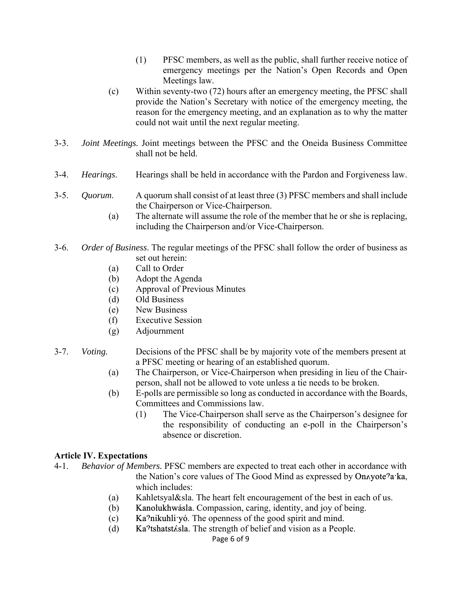- (1) PFSC members, as well as the public, shall further receive notice of emergency meetings per the Nation's Open Records and Open Meetings law.
- (c) Within seventy-two (72) hours after an emergency meeting, the PFSC shall provide the Nation's Secretary with notice of the emergency meeting, the reason for the emergency meeting, and an explanation as to why the matter could not wait until the next regular meeting.
- 3-3. *Joint Meetings.* Joint meetings between the PFSC and the Oneida Business Committee shall not be held.
- 3-4. *Hearings*. Hearings shall be held in accordance with the Pardon and Forgiveness law.
- 3-5. *Quorum*. A quorum shall consist of at least three (3) PFSC members and shall include the Chairperson or Vice-Chairperson.
	- (a) The alternate will assume the role of the member that he or she is replacing, including the Chairperson and/or Vice-Chairperson.
- 3-6. *Order of Business*. The regular meetings of the PFSC shall follow the order of business as set out herein:
	- (a) Call to Order
	- (b) Adopt the Agenda
	- (c) Approval of Previous Minutes
	- (d) Old Business
	- (e) New Business
	- (f) Executive Session
	- (g) Adjournment
- 3-7. *Voting.* Decisions of the PFSC shall be by majority vote of the members present at a PFSC meeting or hearing of an established quorum.
	- (a) The Chairperson, or Vice-Chairperson when presiding in lieu of the Chair person, shall not be allowed to vote unless a tie needs to be broken.
	- (b) E-polls are permissible so long as conducted in accordance with the Boards, Committees and Commissions law.
		- (1) The Vice-Chairperson shall serve as the Chairperson's designee for the responsibility of conducting an e-poll in the Chairperson's absence or discretion.

### **Article IV. Expectations**

- 4-1. *Behavior of Members.* PFSC members are expected to treat each other in accordance with the Nation's core values of The Good Mind as expressed by Onayote<sup>9</sup>a·ka, which includes:
	- (a) Kahletsyal&sla. The heart felt encouragement of the best in each of us.
	- (b) Kanolukhwásla. Compassion, caring, identity, and joy of being.
	- (c) Ka $\Omega$ nikuhli vó. The openness of the good spirit and mind.
	- (d) Ka $\text{?tshatstAsla}$ . The strength of belief and vision as a People.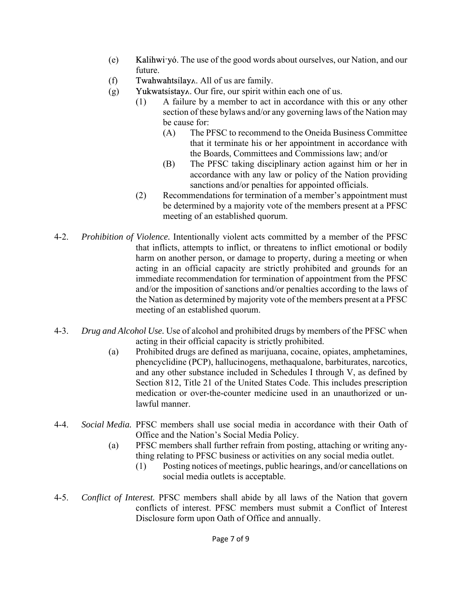- (e) Kalihwi-yó. The use of the good words about ourselves, our Nation, and our future.
- $(f)$  Twahwahtsilay  $\Lambda$ . All of us are family.
- $(g)$  Yukwatsistay $\Lambda$ . Our fire, our spirit within each one of us.
	- (1) A failure by a member to act in accordance with this or any other section of these bylaws and/or any governing laws of the Nation may be cause for:
		- (A) The PFSC to recommend to the Oneida Business Committee that it terminate his or her appointment in accordance with the Boards, Committees and Commissions law; and/or
		- (B) The PFSC taking disciplinary action against him or her in accordance with any law or policy of the Nation providing sanctions and/or penalties for appointed officials.
	- (2) Recommendations for termination of a member's appointment must be determined by a majority vote of the members present at a PFSC meeting of an established quorum.
- 4-2. *Prohibition of Violence.* Intentionally violent acts committed by a member of the PFSC that inflicts, attempts to inflict, or threatens to inflict emotional or bodily harm on another person, or damage to property, during a meeting or when acting in an official capacity are strictly prohibited and grounds for an immediate recommendation for termination of appointment from the PFSC and/or the imposition of sanctions and/or penalties according to the laws of the Nation as determined by majority vote of the members present at a PFSC meeting of an established quorum.
- 4-3. *Drug and Alcohol Use.* Use of alcohol and prohibited drugs by members of the PFSC when acting in their official capacity is strictly prohibited.
	- (a) Prohibited drugs are defined as marijuana, cocaine, opiates, amphetamines, phencyclidine (PCP), hallucinogens, methaqualone, barbiturates, narcotics, and any other substance included in Schedules I through V, as defined by Section 812, Title 21 of the United States Code. This includes prescription medication or over-the-counter medicine used in an unauthorized or unlawful manner.
- 4-4. *Social Media.* PFSC members shall use social media in accordance with their Oath of Office and the Nation's Social Media Policy.
	- (a) PFSC members shall further refrain from posting, attaching or writing anything relating to PFSC business or activities on any social media outlet.
		- (1) Posting notices of meetings, public hearings, and/or cancellations on social media outlets is acceptable.
- 4-5. *Conflict of Interest.* PFSC members shall abide by all laws of the Nation that govern conflicts of interest. PFSC members must submit a Conflict of Interest Disclosure form upon Oath of Office and annually.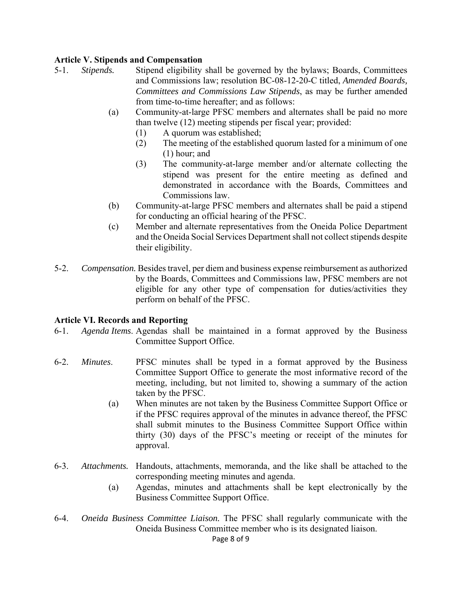### **Article V. Stipends and Compensation**

- 5-1. *Stipends.* Stipend eligibility shall be governed by the bylaws; Boards, Committees and Commissions law; resolution BC-08-12-20-C titled, *Amended Boards, Committees and Commissions Law Stipends*, as may be further amended from time-to-time hereafter; and as follows:
	- (a) Community-at-large PFSC members and alternates shall be paid no more than twelve (12) meeting stipends per fiscal year; provided:
		- (1) A quorum was established;
		- (2) The meeting of the established quorum lasted for a minimum of one (1) hour; and
		- (3) The community-at-large member and/or alternate collecting the stipend was present for the entire meeting as defined and demonstrated in accordance with the Boards, Committees and Commissions law.
	- (b) Community-at-large PFSC members and alternates shall be paid a stipend for conducting an official hearing of the PFSC.
	- (c) Member and alternate representatives from the Oneida Police Department and the Oneida Social Services Department shall not collect stipends despite their eligibility.
- 5-2. *Compensation.* Besides travel, per diem and business expense reimbursement as authorized by the Boards, Committees and Commissions law, PFSC members are not eligible for any other type of compensation for duties/activities they perform on behalf of the PFSC.

### **Article VI. Records and Reporting**

- 6-1. *Agenda Items*. Agendas shall be maintained in a format approved by the Business Committee Support Office.
- 6-2. *Minutes*. PFSC minutes shall be typed in a format approved by the Business Committee Support Office to generate the most informative record of the meeting, including, but not limited to, showing a summary of the action taken by the PFSC.
	- (a) When minutes are not taken by the Business Committee Support Office or if the PFSC requires approval of the minutes in advance thereof, the PFSC shall submit minutes to the Business Committee Support Office within thirty (30) days of the PFSC's meeting or receipt of the minutes for approval.
- 6-3. *Attachments.* Handouts, attachments, memoranda, and the like shall be attached to the corresponding meeting minutes and agenda.
	- (a) Agendas, minutes and attachments shall be kept electronically by the Business Committee Support Office.
- 6-4. *Oneida Business Committee Liaison.* The PFSC shall regularly communicate with the Oneida Business Committee member who is its designated liaison.